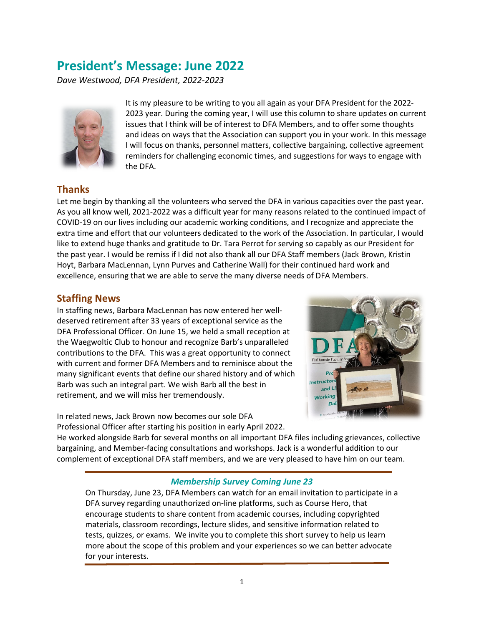# **President's Message: June 2022**

*Dave Westwood, DFA President, 2022-2023*



It is my pleasure to be writing to you all again as your DFA President for the 2022- 2023 year. During the coming year, I will use this column to share updates on current issues that I think will be of interest to DFA Members, and to offer some thoughts and ideas on ways that the Association can support you in your work. In this message I will focus on thanks, personnel matters, collective bargaining, collective agreement reminders for challenging economic times, and suggestions for ways to engage with the DFA.

## **Thanks**

Let me begin by thanking all the volunteers who served the DFA in various capacities over the past year. As you all know well, 2021-2022 was a difficult year for many reasons related to the continued impact of COVID-19 on our lives including our academic working conditions, and I recognize and appreciate the extra time and effort that our volunteers dedicated to the work of the Association. In particular, I would like to extend huge thanks and gratitude to Dr. Tara Perrot for serving so capably as our President for the past year. I would be remiss if I did not also thank all our DFA Staff members (Jack Brown, Kristin Hoyt, Barbara MacLennan, Lynn Purves and Catherine Wall) for their continued hard work and excellence, ensuring that we are able to serve the many diverse needs of DFA Members.

## **Staffing News**

In staffing news, Barbara MacLennan has now entered her welldeserved retirement after 33 years of exceptional service as the DFA Professional Officer. On June 15, we held a small reception at the Waegwoltic Club to honour and recognize Barb's unparalleled contributions to the DFA. This was a great opportunity to connect with current and former DFA Members and to reminisce about the many significant events that define our shared history and of which Barb was such an integral part. We wish Barb all the best in retirement, and we will miss her tremendously.

In related news, Jack Brown now becomes our sole DFA Professional Officer after starting his position in early April 2022.



He worked alongside Barb for several months on all important DFA files including grievances, collective bargaining, and Member-facing consultations and workshops. Jack is a wonderful addition to our complement of exceptional DFA staff members, and we are very pleased to have him on our team.

#### *Membership Survey Coming June 23*

On Thursday, June 23, DFA Members can watch for an email invitation to participate in a DFA survey regarding unauthorized on-line platforms, such as Course Hero, that encourage students to share content from academic courses, including copyrighted materials, classroom recordings, lecture slides, and sensitive information related to tests, quizzes, or exams. We invite you to complete this short survey to help us learn more about the scope of this problem and your experiences so we can better advocate for your interests.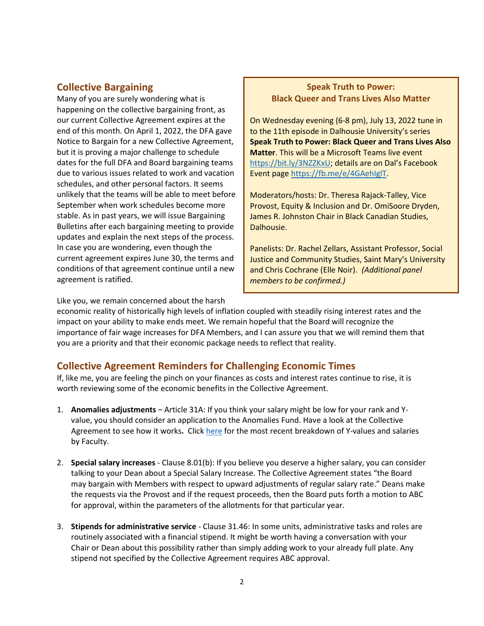## **Collective Bargaining**

Many of you are surely wondering what is happening on the collective bargaining front, as our current Collective Agreement expires at the end of this month. On April 1, 2022, the DFA gave Notice to Bargain for a new Collective Agreement, but it is proving a major challenge to schedule dates for the full DFA and Board bargaining teams due to various issues related to work and vacation schedules, and other personal factors. It seems unlikely that the teams will be able to meet before September when work schedules become more stable. As in past years, we will issue Bargaining Bulletins after each bargaining meeting to provide updates and explain the next steps of the process. In case you are wondering, even though the current agreement expires June 30, the terms and conditions of that agreement continue until a new agreement is ratified.

#### **Speak Truth to Power: Black Queer and Trans Lives Also Matter**

On Wednesday evening (6-8 pm), July 13, 2022 tune in to the 11th episode in Dalhousie University's series **Speak Truth to Power: Black Queer and Trans Lives Also Matter**. This will be a Microsoft Teams live event [https://bit.ly/3NZZKxU;](https://bit.ly/3NZZKxU) details are on Dal's Facebook Event page [https://fb.me/e/4GAehIglT.](https://fb.me/e/4GAehIglT)

Moderators/hosts: Dr. Theresa Rajack-Talley, Vice Provost, Equity & Inclusion and Dr. OmiSoore Dryden, James R. Johnston Chair in Black Canadian Studies, Dalhousie.

Panelists: Dr. Rachel Zellars, Assistant Professor, Social Justice and Community Studies, Saint Mary's University and Chris Cochrane (Elle Noir). *(Additional panel members to be confirmed.)*

Like you, we remain concerned about the harsh

economic reality of historically high levels of inflation coupled with steadily rising interest rates and the impact on your ability to make ends meet. We remain hopeful that the Board will recognize the importance of fair wage increases for DFA Members, and I can assure you that we will remind them that you are a priority and that their economic package needs to reflect that reality.

## **Collective Agreement Reminders for Challenging Economic Times**

If, like me, you are feeling the pinch on your finances as costs and interest rates continue to rise, it is worth reviewing some of the economic benefits in the Collective Agreement.

- 1. **Anomalies adjustments** Article 31A: If you think your salary might be low for your rank and Yvalue, you should consider an application to the Anomalies Fund. Have a look at the Collective Agreement to see how it works**.** Clic[k here](https://www.dal.ca/dept/senior-administration/provost-vp-academic/reports/faculty-recruitment-salaries.html) for the most recent breakdown of Y-values and salaries by Faculty.
- 2. **Special salary increases** Clause 8.01(b): If you believe you deserve a higher salary, you can consider talking to your Dean about a Special Salary Increase. The Collective Agreement states "the Board may bargain with Members with respect to upward adjustments of regular salary rate." Deans make the requests via the Provost and if the request proceeds, then the Board puts forth a motion to ABC for approval, within the parameters of the allotments for that particular year.
- 3. **Stipends for administrative service** Clause 31.46: In some units, administrative tasks and roles are routinely associated with a financial stipend. It might be worth having a conversation with your Chair or Dean about this possibility rather than simply adding work to your already full plate. Any stipend not specified by the Collective Agreement requires ABC approval.